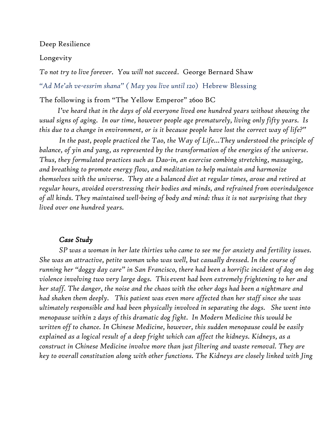#### Deep Resilience

#### Longevity

*To not try to live forever. You will not succeed*. George Bernard Shaw

*"Ad Me'ah ve-essrim shana" ( May you live until 120*) Hebrew Blessing

#### The following is from "The Yellow Emperor" 2600 BC

 *I've heard that in the days of old everyone lived one hundred years without showing the usual signs of aging. In our time, however people age prematurely, living only fifty years. Is this due to a change in environment, or is it because people have lost the correct way of life?"*

*In the past, people practiced the Tao, the Way of Life…They understood the principle of balance, of yin and yang, as represented by the transformation of the energies of the universe. Thus, they formulated practices such as Dao-in, an exercise combing stretching, massaging, and breathing to promote energy flow, and meditation to help maintain and harmonize themselves with the universe. They ate a balanced diet at regular times, arose and retired at regular hours, avoided overstressing their bodies and minds, and refrained from overindulgence of all kinds. They maintained well-being of body and mind: thus it is not surprising that they lived over one hundred years.*

#### *Case Study*

*SP was a woman in her late thirties who came to see me for anxiety and fertility issues. She was an attractive, petite woman who was well, but casually dressed. In the course of running her "doggy day care" in San Francisco, there had been a horrific incident of dog on dog violence involving two very large dogs. Thisevent had been extremely frightening to her and her staff. The danger, the noise and the chaos with the other dogs had been a nightmare and had shaken them deeply. This patient was even more affected than her staff since she was ultimately responsible and had been physically involved in separating the dogs. She went into menopause within 2 days of this dramatic dog fight. In Modern Medicine this would be written off to chance. In Chinese Medicine, however, this sudden menopause could be easily explained as a logical result of a deep fright which can affect the kidneys. Kidneys, as a construct in Chinese Medicine involve more than just filtering and waste removal. They are key to overall constitution along with other functions. The Kidneys are closely linked with Jing*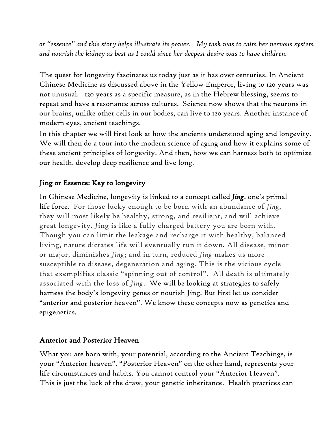*or "essence" and this story helps illustrate its power. My task was to calm her nervous system and nourish the kidney as best as I could since her deepest desire was to have children.*

The quest for longevity fascinates us today just as it has over centuries. In Ancient Chinese Medicine as discussed above in the Yellow Emperor, living to 120 years was not unusual. 120 years as a specific measure, as in the Hebrew blessing, seems to repeat and have a resonance across cultures. Science now shows that the neurons in our brains, unlike other cells in our bodies, can live to 120 years. Another instance of modern eyes, ancient teachings.

In this chapter we will first look at how the ancients understood aging and longevity. We will then do a tour into the modern science of aging and how it explains some of these ancient principles of longevity. And then, how we can harness both to optimize our health, develop deep resilience and live long.

### Jing or Essence: Key to longevity

In Chinese Medicine, longevity is linked to a concept called *Jing*, one's primal life force. For those lucky enough to be born with an abundance of *Jing,*  they will most likely be healthy, strong, and resilient, and will achieve great longevity. *J*ing is like a fully charged battery you are born with. Though you can limit the leakage and recharge it with healthy, balanced living, nature dictates life will eventually run it down*.* All disease, minor or major, diminishes *Jing*; and in turn, reduced *Jing* makes us more susceptible to disease, degeneration and aging. This is the vicious cycle that exemplifies classic "spinning out of control". All death is ultimately associated with the loss of *Jing*. We will be looking at strategies to safely harness the body's longevity genes or nourish Jing. But first let us consider "anterior and posterior heaven". We know these concepts now as genetics and epigenetics.

#### Anterior and Posterior Heaven

What you are born with, your potential, according to the Ancient Teachings, is your "Anterior heaven". "Posterior Heaven" on the other hand, represents your life circumstances and habits. You cannot control your "Anterior Heaven". This is just the luck of the draw, your genetic inheritance. Health practices can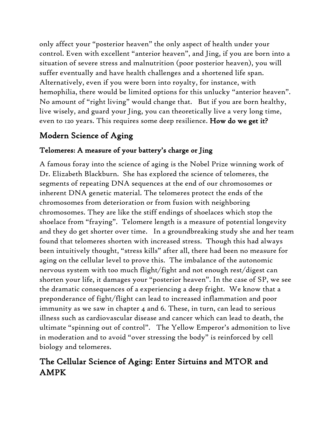only affect your "posterior heaven" the only aspect of health under your control. Even with excellent "anterior heaven", and Jing, if you are born into a situation of severe stress and malnutrition (poor posterior heaven), you will suffer eventually and have health challenges and a shortened life span. Alternatively, even if you were born into royalty, for instance, with hemophilia, there would be limited options for this unlucky "anterior heaven". No amount of "right living" would change that. But if you are born healthy, live wisely, and guard your Jing, you can theoretically live a very long time, even to 120 years. This requires some deep resilience. How do we get it?

# Modern Science of Aging

## Telomeres: A measure of your battery's charge or Jing

A famous foray into the science of aging is the Nobel Prize winning work of Dr. Elizabeth Blackburn. She has explored the science of telomeres, the segments of repeating DNA sequences at the end of our chromosomes or inherent DNA genetic material. The telomeres protect the ends of the chromosomes from deterioration or from fusion with neighboring chromosomes. They are like the stiff endings of shoelaces which stop the shoelace from "fraying". Telomere length is a measure of potential longevity and they do get shorter over time. In a groundbreaking study she and her team found that telomeres shorten with increased stress. Though this had always been intuitively thought, "stress kills" after all, there had been no measure for aging on the cellular level to prove this. The imbalance of the autonomic nervous system with too much flight/fight and not enough rest/digest can shorten your life, it damages your "posterior heaven". In the case of SP, we see the dramatic consequences of a experiencing a deep fright. We know that a preponderance of fight/flight can lead to increased inflammation and poor immunity as we saw in chapter 4 and 6. These, in turn, can lead to serious illness such as cardiovascular disease and cancer which can lead to death, the ultimate "spinning out of control". The Yellow Emperor's admonition to live in moderation and to avoid "over stressing the body" is reinforced by cell biology and telomeres.

# The Cellular Science of Aging: Enter Sirtuins and MTOR and AMPK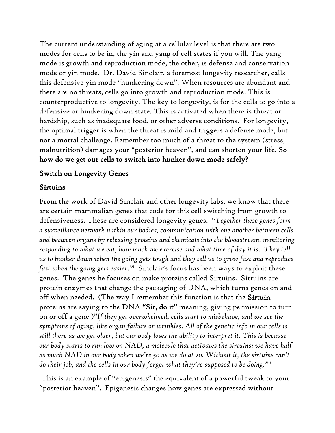The current understanding of aging at a cellular level is that there are two modes for cells to be in, the yin and yang of cell states if you will. The yang mode is growth and reproduction mode, the other, is defense and conservation mode or yin mode. Dr. David Sinclair, a foremost longevity researcher, calls this defensive yin mode "hunkering down". When resources are abundant and there are no threats, cells go into growth and reproduction mode. This is counterproductive to longevity. The key to longevity, is for the cells to go into a defensive or hunkering down state. This is activated when there is threat or hardship, such as inadequate food, or other adverse conditions. For longevity, the optimal trigger is when the threat is mild and triggers a defense mode, but not a mortal challenge. Remember too much of a threat to the system (stress, malnutrition) damages your "posterior heaven", and can shorten your life. So how do we get our cells to switch into hunker down mode safely?

#### Switch on Longevity Genes

#### Sirtuins

From the work of David Sinclair and other longevity labs, we know that there are certain mammalian genes that code for this cell switching from growth to defensiveness. These are considered longevity genes. "*Together these genes form a surveillance network within our bodies, communication with one another between cells and between organs by releasing proteins and chemicals into the bloodstream, monitoring responding to what we eat, how much we exercise and what time of day it is. They tell us to hunker down when the going gets tough and they tell us to grow fast and reproduce fast when the going gets easier."<sup>i</sup>* Sinclair's focus has been ways to exploit these genes. The genes he focuses on make proteins called Sirtuins. Sirtuins are protein enzymes that change the packaging of DNA, which turns genes on and off when needed. (The way I remember this function is that the Sirtuin proteins are saying to the DNA "Sir, do it" meaning, giving permission to turn on or off a gene.)"*If they get overwhelmed, cells start to misbehave, and we see the symptoms of aging, like organ failure or wrinkles. All of the genetic info in our cells is still there as we get older, but our body loses the ability to interpret it. This is because our body starts to run low on NAD, a molecule that activates the sirtuins: we have half as much NAD in our body when we're 50 as we do at 20. Without it, the sirtuins can't do their job, and the cells in our body forget what they're supposed to be doing." ii*

This is an example of "epigenesis" the equivalent of a powerful tweak to your "posterior heaven". Epigenesis changes how genes are expressed without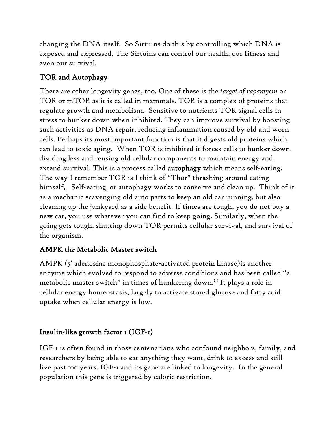changing the DNA itself. So Sirtuins do this by controlling which DNA is exposed and expressed. The Sirtuins can control our health, our fitness and even our survival.

### TOR and Autophagy

There are other longevity genes, too. One of these is the *target of rapamycin* or TOR or mTOR as it is called in mammals. TOR is a complex of proteins that regulate growth and metabolism. Sensitive to nutrients TOR signal cells in stress to hunker down when inhibited. They can improve survival by boosting such activities as DNA repair, reducing inflammation caused by old and worn cells. Perhaps its most important function is that it digests old proteins which can lead to toxic aging. When TOR is inhibited it forces cells to hunker down, dividing less and reusing old cellular components to maintain energy and extend survival. This is a process called autophagy which means self-eating. The way I remember TOR is I think of "Thor" thrashing around eating himself. Self-eating, or autophagy works to conserve and clean up. Think of it as a mechanic scavenging old auto parts to keep an old car running, but also cleaning up the junkyard as a side benefit. If times are tough, you do not buy a new car, you use whatever you can find to keep going. Similarly, when the going gets tough, shutting down TOR permits cellular survival, and survival of the organism.

### AMPK the Metabolic Master switch

AMPK (5' adenosine monophosphate-activated protein kinase)is another enzyme which evolved to respond to adverse conditions and has been called "a metabolic master switch" in times of hunkering down.<sup>iii</sup> It plays a role in cellular energy homeostasis, largely to activate stored glucose and fatty acid uptake when cellular energy is low.

## Insulin-like growth factor 1 (IGF-1)

IGF-1 is often found in those centenarians who confound neighbors, family, and researchers by being able to eat anything they want, drink to excess and still live past 100 years. IGF-1 and its gene are linked to longevity. In the general population this gene is triggered by caloric restriction.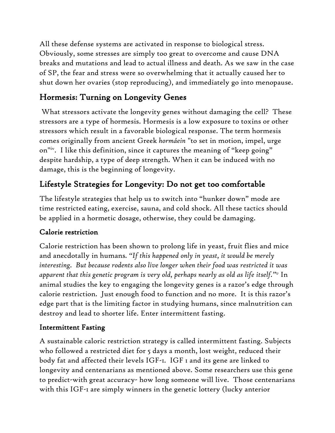All these defense systems are activated in response to biological stress. Obviously, some stresses are simply too great to overcome and cause DNA breaks and mutations and lead to actual illness and death. As we saw in the case of SP, the fear and stress were so overwhelming that it actually caused her to shut down her ovaries (stop reproducing), and immediately go into menopause.

# Hormesis: Turning on Longevity Genes

What stressors activate the longevity genes without damaging the cell? These stressors are a type of hormesis. Hormesis is a low exposure to toxins or other stressors which result in a favorable biological response. The term hormesis comes originally from ancient Greek *hormáein* "to set in motion, impel, urge on"iv . I like this definition, since it captures the meaning of "keep going" despite hardship, a type of deep strength. When it can be induced with no damage, this is the beginning of longevity.

# Lifestyle Strategies for Longevity: Do not get too comfortable

The lifestyle strategies that help us to switch into "hunker down" mode are time restricted eating, exercise, sauna, and cold shock. All these tactics should be applied in a hormetic dosage, otherwise, they could be damaging.

### Calorie restriction

Calorie restriction has been shown to prolong life in yeast, fruit flies and mice and anecdotally in humans*. "If this happened only in yeast, it would be merely interesting. But because rodents also live longer when their food was restricted it was*  apparent that this genetic program is very old, perhaps nearly as old as life itself."<sup>v</sup> In animal studies the key to engaging the longevity genes is a razor's edge through calorie restriction. Just enough food to function and no more. It is this razor's edge part that is the limiting factor in studying humans, since malnutrition can destroy and lead to shorter life. Enter intermittent fasting.

### Intermittent Fasting

A sustainable caloric restriction strategy is called intermittent fasting. Subjects who followed a restricted diet for 5 days a month, lost weight, reduced their body fat and affected their levels IGF-1. IGF 1 and its gene are linked to longevity and centenarians as mentioned above. Some researchers use this gene to predict-with great accuracy- how long someone will live. Those centenarians with this IGF-1 are simply winners in the genetic lottery (lucky anterior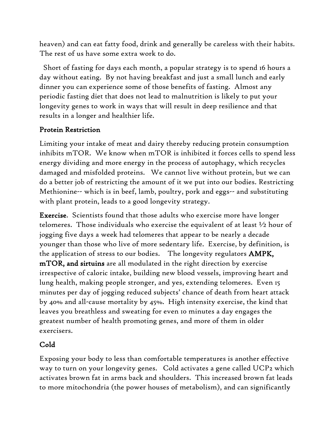heaven) and can eat fatty food, drink and generally be careless with their habits. The rest of us have some extra work to do.

 Short of fasting for days each month, a popular strategy is to spend 16 hours a day without eating. By not having breakfast and just a small lunch and early dinner you can experience some of those benefits of fasting. Almost any periodic fasting diet that does not lead to malnutrition is likely to put your longevity genes to work in ways that will result in deep resilience and that results in a longer and healthier life.

#### Protein Restriction

Limiting your intake of meat and dairy thereby reducing protein consumption inhibits mTOR. We know when mTOR is inhibited it forces cells to spend less energy dividing and more energy in the process of autophagy, which recycles damaged and misfolded proteins. We cannot live without protein, but we can do a better job of restricting the amount of it we put into our bodies. Restricting Methionine-- which is in beef, lamb, poultry, pork and eggs-- and substituting with plant protein, leads to a good longevity strategy.

Exercise. Scientists found that those adults who exercise more have longer telomeres. Those individuals who exercise the equivalent of at least ½ hour of jogging five days a week had telomeres that appear to be nearly a decade younger than those who live of more sedentary life. Exercise, by definition, is the application of stress to our bodies. The longevity regulators AMPK, mTOR, and sirtuins are all modulated in the right direction by exercise irrespective of caloric intake, building new blood vessels, improving heart and lung health, making people stronger, and yes, extending telomeres. Even 15 minutes per day of jogging reduced subjects' chance of death from heart attack by 40% and all-cause mortality by 45%. High intensity exercise, the kind that leaves you breathless and sweating for even 10 minutes a day engages the greatest number of health promoting genes, and more of them in older exercisers.

### Cold

Exposing your body to less than comfortable temperatures is another effective way to turn on your longevity genes. Cold activates a gene called UCP2 which activates brown fat in arms back and shoulders. This increased brown fat leads to more mitochondria (the power houses of metabolism), and can significantly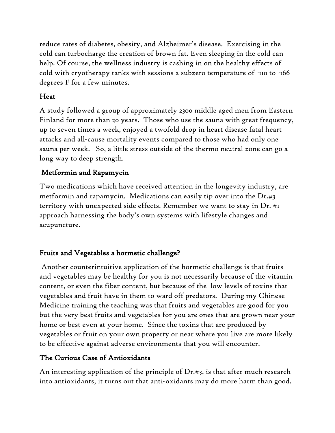reduce rates of diabetes, obesity, and Alzheimer's disease. Exercising in the cold can turbocharge the creation of brown fat. Even sleeping in the cold can help. Of course, the wellness industry is cashing in on the healthy effects of cold with cryotherapy tanks with sessions a subzero temperature of -110 to -166 degrees F for a few minutes.

#### Heat

A study followed a group of approximately 2300 middle aged men from Eastern Finland for more than 20 years. Those who use the sauna with great frequency, up to seven times a week, enjoyed a twofold drop in heart disease fatal heart attacks and all-cause mortality events compared to those who had only one sauna per week. So, a little stress outside of the thermo neutral zone can go a long way to deep strength.

#### Metformin and Rapamycin

Two medications which have received attention in the longevity industry, are metformin and rapamycin. Medications can easily tip over into the Dr.#3 territory with unexpected side effects. Remember we want to stay in Dr. #1 approach harnessing the body's own systems with lifestyle changes and acupuncture.

#### Fruits and Vegetables a hormetic challenge?

Another counterintuitive application of the hormetic challenge is that fruits and vegetables may be healthy for you is not necessarily because of the vitamin content, or even the fiber content, but because of the low levels of toxins that vegetables and fruit have in them to ward off predators. During my Chinese Medicine training the teaching was that fruits and vegetables are good for you but the very best fruits and vegetables for you are ones that are grown near your home or best even at your home. Since the toxins that are produced by vegetables or fruit on your own property or near where you live are more likely to be effective against adverse environments that you will encounter.

### The Curious Case of Antioxidants

An interesting application of the principle of Dr.#3, is that after much research into antioxidants, it turns out that anti-oxidants may do more harm than good.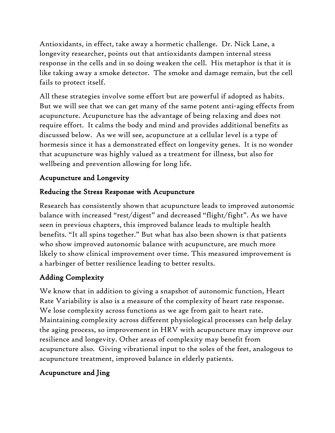Antioxidants, in effect, take away a hormetic challenge. Dr. Nick Lane, a longevity researcher, points out that antioxidants dampen internal stress response in the cells and in so doing weaken the cell. His metaphor is that it is like taking away a smoke detector. The smoke and damage remain, but the cell fails to protect itself.

All these strategies involve some effort but are powerful if adopted as habits. But we will see that we can get many of the same potent anti-aging effects from acupuncture. Acupuncture has the advantage of being relaxing and does not require effort. It calms the body and mind and provides additional benefits as discussed below. As we will see, acupuncture at a cellular level is a type of hormesis since it has a demonstrated effect on longevity genes. It is no wonder that acupuncture was highly valued as a treatment for illness, but also for wellbeing and prevention allowing for long life.

## Acupuncture and Longevity

### Reducing the Stress Response with Acupuncture

Research has consistently shown that acupuncture leads to improved autonomic balance with increased "rest/digest" and decreased "flight/fight". As we have seen in previous chapters, this improved balance leads to multiple health benefits. "It all spins together." But what has also been shown is that patients who show improved autonomic balance with acupuncture, are much more likely to show clinical improvement over time. This measured improvement is a harbinger of better resilience leading to better results.

## Adding Complexity

We know that in addition to giving a snapshot of autonomic function, Heart Rate Variability is also is a measure of the complexity of heart rate response. We lose complexity across functions as we age from gait to heart rate. Maintaining complexity across different physiological processes can help delay the aging process, so improvement in HRV with acupuncture may improve our resilience and longevity. Other areas of complexity may benefit from acupuncture also. Giving vibrational input to the soles of the feet, analogous to acupuncture treatment, improved balance in elderly patients.

## Acupuncture and Jing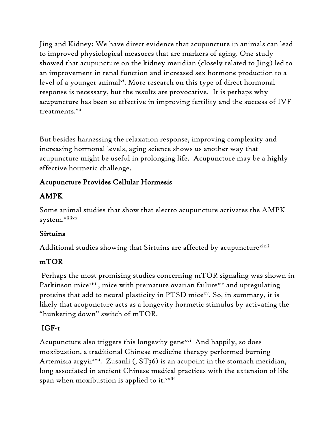Jing and Kidney: We have direct evidence that acupuncture in animals can lead to improved physiological measures that are markers of aging. One study showed that acupuncture on the kidney meridian (closely related to Jing) led to an improvement in renal function and increased sex hormone production to a level of a younger animal<sup>vi</sup>. More research on this type of direct hormonal response is necessary, but the results are provocative. It is perhaps why acupuncture has been so effective in improving fertility and the success of IVF treatments.<sup>vii</sup>

But besides harnessing the relaxation response, improving complexity and increasing hormonal levels, aging science shows us another way that acupuncture might be useful in prolonging life. Acupuncture may be a highly effective hormetic challenge.

### Acupuncture Provides Cellular Hormesis

## AMPK

Some animal studies that show that electro acupuncture activates the AMPK system.<sup>viiiixx</sup>

## Sirtuins

Additional studies showing that Sirtuins are affected by acupuncture<sup>xixii</sup>

### mTOR

Perhaps the most promising studies concerning mTOR signaling was shown in Parkinson mice<sup>xiii</sup>, mice with premature ovarian failure<sup>xiv</sup> and upregulating proteins that add to neural plasticity in PTSD mice $^{\mathrm{xv}}$ . So, in summary, it is likely that acupuncture acts as a longevity hormetic stimulus by activating the "hunkering down" switch of mTOR.

## IGF-1

Acupuncture also triggers this longevity gene<sup>xvi</sup> And happily, so does moxibustion, a traditional Chinese medicine therapy performed burning Artemisia argyii<sup>xvii</sup>. Zusanli (, ST36) is an acupoint in the stomach meridian, long associated in ancient Chinese medical practices with the extension of life span when moxibustion is applied to it.<sup>xviii</sup>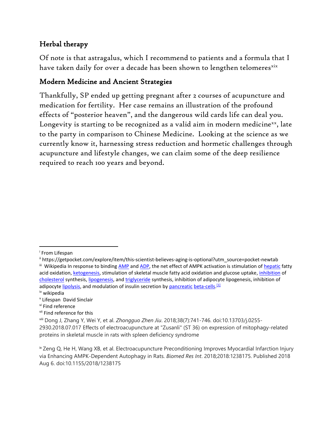### Herbal therapy

Of note is that astragalus, which I recommend to patients and a formula that I have taken daily for over a decade has been shown to lengthen telomeresxix

#### Modern Medicine and Ancient Strategies

Thankfully, SP ended up getting pregnant after 2 courses of acupuncture and medication for fertility. Her case remains an illustration of the profound effects of "posterior heaven", and the dangerous wild cards life can deal you. Longevity is starting to be recognized as a valid aim in modern medicine $x^2$ , late to the party in comparison to Chinese Medicine. Looking at the science as we currently know it, harnessing stress reduction and hormetic challenges through acupuncture and lifestyle changes, we can claim some of the deep resilience required to reach 100 years and beyond.

iv wikipedia

vii Find reference for this

i From Lifespan

ii https://getpocket.com/explore/item/this-scientist-believes-aging-is-optional?utm\_source=pocket-newtab <sup>iii</sup> Wikipedia In response to bindin[g AMP](https://en.wikipedia.org/wiki/Adenosine_monophosphate) and [ADP,](https://en.wikipedia.org/wiki/Adenosine_diphosphate) the net effect of AMPK activation is stimulation of **[hepatic](https://en.wikipedia.org/wiki/Hepatic)** fatty acid oxidation[, ketogenesis,](https://en.wikipedia.org/wiki/Ketogenesis) stimulation of skeletal muscle fatty acid oxidation and glucose uptake, [inhibition](https://en.wikipedia.org/wiki/Enzyme_inhibitor) of [cholesterol](https://en.wikipedia.org/wiki/Cholesterol) synthesis[, lipogenesis,](https://en.wikipedia.org/wiki/Lipogenesis) an[d triglyceride](https://en.wikipedia.org/wiki/Triglyceride) synthesis, inhibition of adipocyte lipogenesis, inhibition of adipocyte [lipolysis,](https://en.wikipedia.org/wiki/Lipolysis) and modulation of insulin secretion by <u>pancreatic [beta-cells.](https://en.wikipedia.org/wiki/Beta-cells)<sup>[\[1\]](https://en.wikipedia.org/wiki/AMP-activated_protein_kinase#cite_note-pmid10409121-1)</sup></u>

v Lifespan David Sinclair

vi Find reference

viii Dong J, Zhang Y, Wei Y, et al. *Zhongguo Zhen Jiu*. 2018;38(7):741-746. doi:10.13703/j.0255- 2930.2018.07.017 Effects of electroacupuncture at "Zusanli" (ST 36) on expression of mitophagy-related proteins in skeletal muscle in rats with spleen deficiency syndrome

ix Zeng Q, He H, Wang XB, et al. Electroacupuncture Preconditioning Improves Myocardial Infarction Injury via Enhancing AMPK-Dependent Autophagy in Rats. *Biomed Res Int*. 2018;2018:1238175. Published 2018 Aug 6. doi:10.1155/2018/1238175